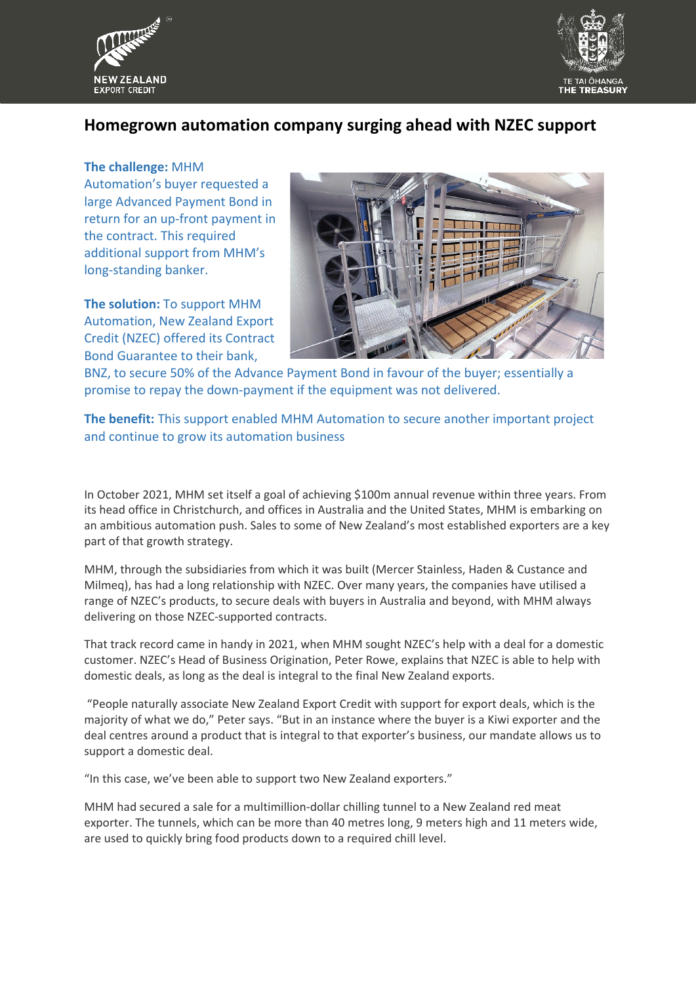



## **Homegrown automation company surging ahead with NZEC support**

## **The challenge:** MHM

Automation's buyer requested a large Advanced Payment Bond in return for an up-front payment in the contract. This required additional support from MHM's long-standing banker.

**The solution:** To support MHM Automation, New Zealand Export Credit (NZEC) offered its Contract Bond Guarantee to their bank,



BNZ, to secure 50% of the Advance Payment Bond in favour of the buyer; essentially a promise to repay the down-payment if the equipment was not delivered.

**The benefit:** This support enabled MHM Automation to secure another important project and continue to grow its automation business

In October 2021, MHM set itself a goal of achieving \$100m annual revenue within three years. From its head office in Christchurch, and offices in Australia and the United States, MHM is embarking on an ambitious automation push. Sales to some of New Zealand's most established exporters are a key part of that growth strategy.

MHM, through the subsidiaries from which it was built (Mercer Stainless, Haden & Custance and Milmeq), has had a long relationship with NZEC. Over many years, the companies have utilised a range of NZEC's products, to secure deals with buyers in Australia and beyond, with MHM always delivering on those NZEC-supported contracts.

That track record came in handy in 2021, when MHM sought NZEC's help with a deal for a domestic customer. NZEC's Head of Business Origination, Peter Rowe, explains that NZEC is able to help with domestic deals, as long as the deal is integral to the final New Zealand exports.

"People naturally associate New Zealand Export Credit with support for export deals, which is the majority of what we do," Peter says. "But in an instance where the buyer is a Kiwi exporter and the deal centres around a product that is integral to that exporter's business, our mandate allows us to support a domestic deal.

"In this case, we've been able to support two New Zealand exporters."

MHM had secured a sale for a multimillion-dollar chilling tunnel to a New Zealand red meat exporter. The tunnels, which can be more than 40 metres long, 9 meters high and 11 meters wide, are used to quickly bring food products down to a required chill level.